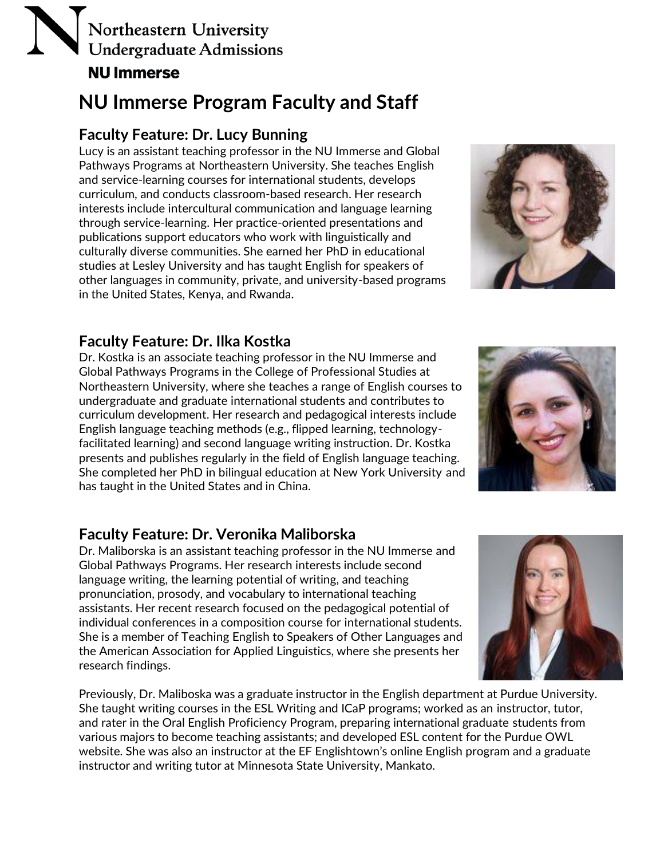## **NU Immerse Program Faculty and Staff**

### **Faculty Feature: Dr. Lucy Bunning**

Lucy is an assistant teaching professor in the NU Immerse and Global Pathways Programs at Northeastern University. She teaches English and service-learning courses for international students, develops curriculum, and conducts classroom-based research. Her research interests include intercultural communication and language learning through service-learning. Her practice-oriented presentations and publications support educators who work with linguistically and culturally diverse communities. She earned her PhD in educational studies at Lesley University and has taught English for speakers of other languages in community, private, and university-based programs in the United States, Kenya, and Rwanda.



## **Faculty Feature: Dr. Ilka Kostka**

Dr. Kostka is an associate teaching professor in the NU Immerse and Global Pathways Programs in the College of Professional Studies at Northeastern University, where she teaches a range of English courses to undergraduate and graduate international students and contributes to curriculum development. Her research and pedagogical interests include English language teaching methods (e.g., flipped learning, technologyfacilitated learning) and second language writing instruction. Dr. Kostka presents and publishes regularly in the field of English language teaching. She completed her PhD in bilingual education at New York University and has taught in the United States and in China.



### **Faculty Feature: Dr. Veronika Maliborska**

Dr. Maliborska is an assistant teaching professor in the NU Immerse and Global Pathways Programs. Her research interests include second language writing, the learning potential of writing, and teaching pronunciation, prosody, and vocabulary to international teaching assistants. Her recent research focused on the pedagogical potential of individual conferences in a composition course for international students. She is a member of Teaching English to Speakers of Other Languages and the American Association for Applied Linguistics, where she presents her research findings.

Previously, Dr. Maliboska was a graduate instructor in the English department at Purdue University. She taught writing courses in the ESL Writing and ICaP programs; worked as an instructor, tutor, and rater in the Oral English Proficiency Program, preparing international graduate students from various majors to become teaching assistants; and developed ESL content for the Purdue OWL website. She was also an instructor at the EF Englishtown's online English program and a graduate instructor and writing tutor at Minnesota State University, Mankato.

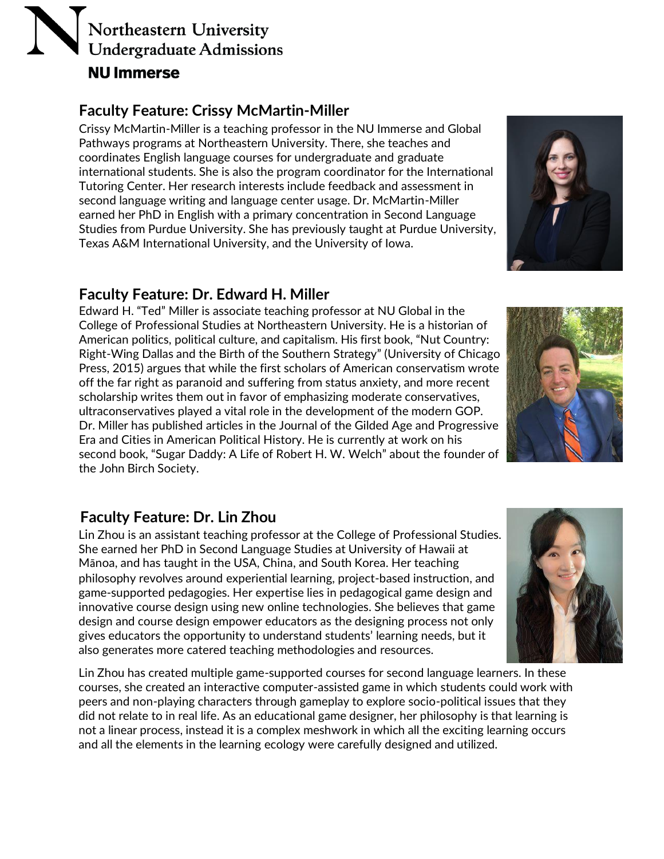### **Faculty Feature: Crissy McMartin-Miller**

Crissy McMartin-Miller is a teaching professor in the NU Immerse and Global Pathways programs at Northeastern University. There, she teaches and coordinates English language courses for undergraduate and graduate international students. She is also the program coordinator for the International Tutoring Center. Her research interests include feedback and assessment in second language writing and language center usage. Dr. McMartin-Miller earned her PhD in English with a primary concentration in Second Language Studies from Purdue University. She has previously taught at Purdue University, Texas A&M International University, and the University of Iowa.

## **Faculty Feature: Dr. Edward H. Miller**

Edward H. "Ted" Miller is associate teaching professor at NU Global in the College of Professional Studies at Northeastern University. He is a historian of American politics, political culture, and capitalism. His first book, "Nut Country: Right-Wing Dallas and the Birth of the Southern Strategy" (University of Chicago Press, 2015) argues that while the first scholars of American conservatism wrote off the far right as paranoid and suffering from status anxiety, and more recent scholarship writes them out in favor of emphasizing moderate conservatives, ultraconservatives played a vital role in the development of the modern GOP. Dr. Miller has published articles in the Journal of the Gilded Age and Progressive Era and Cities in American Political History. He is currently at work on his second book, "Sugar Daddy: A Life of Robert H. W. Welch" about the founder of the John Birch Society.

## **Faculty Feature: Dr. Lin Zhou**

Lin Zhou is an assistant teaching professor at the College of Professional Studies. She earned her PhD in Second Language Studies at University of Hawaii at Mānoa, and has taught in the USA, China, and South Korea. Her teaching philosophy revolves around experiential learning, project-based instruction, and game-supported pedagogies. Her expertise lies in pedagogical game design and innovative course design using new online technologies. She believes that game design and course design empower educators as the designing process not only gives educators the opportunity to understand students' learning needs, but it also generates more catered teaching methodologies and resources.

Lin Zhou has created multiple game-supported courses for second language learners. In these courses, she created an interactive computer-assisted game in which students could work with peers and non-playing characters through gameplay to explore socio-political issues that they did not relate to in real life. As an educational game designer, her philosophy is that learning is not a linear process, instead it is a complex meshwork in which all the exciting learning occurs and all the elements in the learning ecology were carefully designed and utilized.





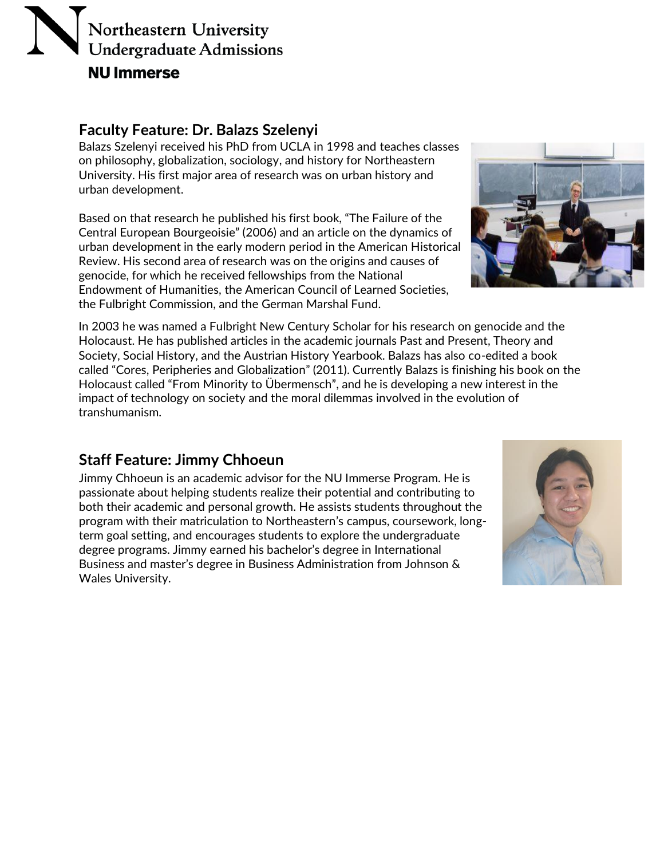#### **Faculty Feature: Dr. Balazs Szelenyi**

Balazs Szelenyi received his PhD from UCLA in 1998 and teaches classes on philosophy, globalization, sociology, and history for Northeastern University. His first major area of research was on urban history and urban development.

Based on that research he published his first book, "The Failure of the Central European Bourgeoisie" (2006) and an article on the dynamics of urban development in the early modern period in the American Historical Review. His second area of research was on the origins and causes of genocide, for which he received fellowships from the National Endowment of Humanities, the American Council of Learned Societies, the Fulbright Commission, and the German Marshal Fund.



In 2003 he was named a Fulbright New Century Scholar for his research on genocide and the Holocaust. He has published articles in the academic journals Past and Present, Theory and Society, Social History, and the Austrian History Yearbook. Balazs has also co-edited a book called "Cores, Peripheries and Globalization" (2011). Currently Balazs is finishing his book on the Holocaust called "From Minority to Übermensch", and he is developing a new interest in the impact of technology on society and the moral dilemmas involved in the evolution of transhumanism.

### **Staff Feature: Jimmy Chhoeun**

Jimmy Chhoeun is an academic advisor for the NU Immerse Program. He is passionate about helping students realize their potential and contributing to both their academic and personal growth. He assists students throughout the program with their matriculation to Northeastern's campus, coursework, longterm goal setting, and encourages students to explore the undergraduate degree programs. Jimmy earned his bachelor's degree in International Business and master's degree in Business Administration from Johnson & Wales University.